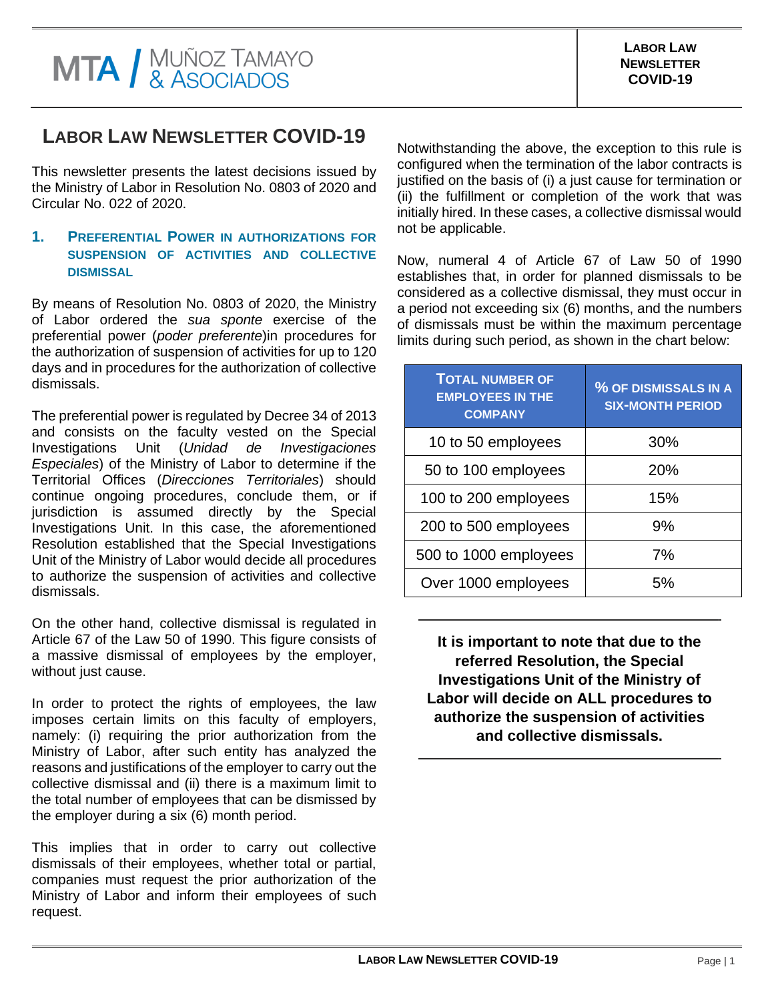## **LABOR LAW NEWSLETTER COVID-19**

This newsletter presents the latest decisions issued by the Ministry of Labor in Resolution No. 0803 of 2020 and Circular No. 022 of 2020.

## **1. PREFERENTIAL POWER IN AUTHORIZATIONS FOR SUSPENSION OF ACTIVITIES AND COLLECTIVE DISMISSAL**

By means of Resolution No. 0803 of 2020, the Ministry of Labor ordered the *sua sponte* exercise of the preferential power (*poder preferente*)in procedures for the authorization of suspension of activities for up to 120 days and in procedures for the authorization of collective dismissals.

The preferential power is regulated by Decree 34 of 2013 and consists on the faculty vested on the Special Investigations Unit (*Unidad de Investigaciones Especiales*) of the Ministry of Labor to determine if the Territorial Offices (*Direcciones Territoriales*) should continue ongoing procedures, conclude them, or if jurisdiction is assumed directly by the Special Investigations Unit. In this case, the aforementioned Resolution established that the Special Investigations Unit of the Ministry of Labor would decide all procedures to authorize the suspension of activities and collective dismissals.

On the other hand, collective dismissal is regulated in Article 67 of the Law 50 of 1990. This figure consists of a massive dismissal of employees by the employer, without just cause.

In order to protect the rights of employees, the law imposes certain limits on this faculty of employers, namely: (i) requiring the prior authorization from the Ministry of Labor, after such entity has analyzed the reasons and justifications of the employer to carry out the collective dismissal and (ii) there is a maximum limit to the total number of employees that can be dismissed by the employer during a six (6) month period.

This implies that in order to carry out collective dismissals of their employees, whether total or partial, companies must request the prior authorization of the Ministry of Labor and inform their employees of such request.

Notwithstanding the above, the exception to this rule is configured when the termination of the labor contracts is justified on the basis of (i) a just cause for termination or (ii) the fulfillment or completion of the work that was initially hired. In these cases, a collective dismissal would not be applicable.

Now, numeral 4 of Article 67 of Law 50 of 1990 establishes that, in order for planned dismissals to be considered as a collective dismissal, they must occur in a period not exceeding six (6) months, and the numbers of dismissals must be within the maximum percentage limits during such period, as shown in the chart below:

| <b>TOTAL NUMBER OF</b><br><b>EMPLOYEES IN THE</b><br><b>COMPANY</b> | % OF DISMISSALS IN A<br><b>SIX-MONTH PERIOD</b> |
|---------------------------------------------------------------------|-------------------------------------------------|
| 10 to 50 employees                                                  | 30%                                             |
| 50 to 100 employees                                                 | 20%                                             |
| 100 to 200 employees                                                | 15%                                             |
| 200 to 500 employees                                                | 9%                                              |
| 500 to 1000 employees                                               | 7%                                              |
| Over 1000 employees                                                 | 5%                                              |

**It is important to note that due to the referred Resolution, the Special Investigations Unit of the Ministry of Labor will decide on ALL procedures to authorize the suspension of activities and collective dismissals.**